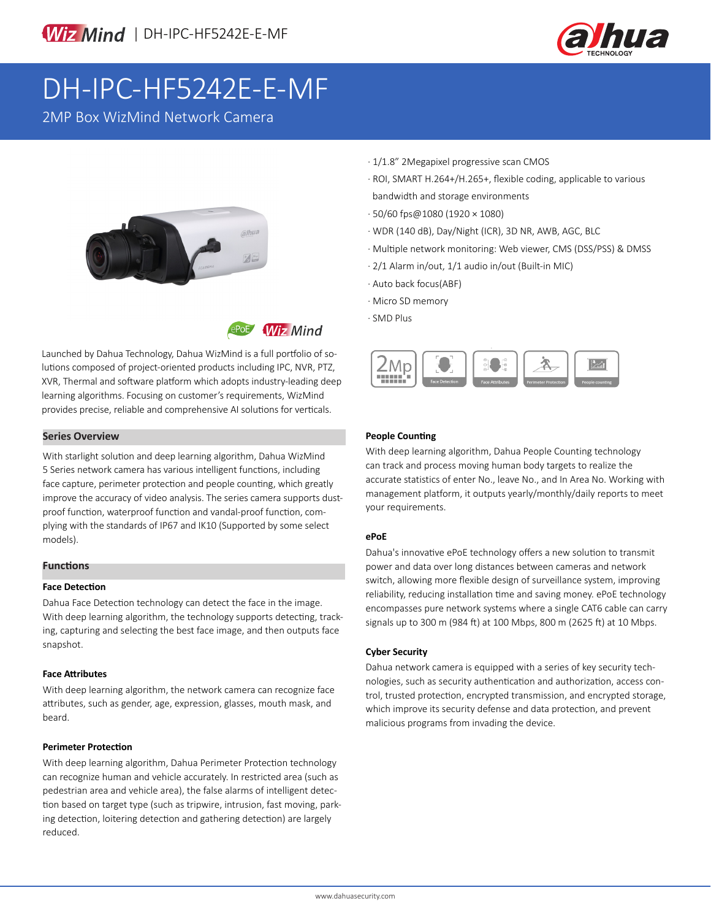

# DH-IPC-HF5242E-E-MF

2MP Box WizMind Network Camera





Launched by Dahua Technology, Dahua WizMind is a full portfolio of solutions composed of project-oriented products including IPC, NVR, PTZ, XVR, Thermal and software platform which adopts industry-leading deep learning algorithms. Focusing on customer's requirements, WizMind provides precise, reliable and comprehensive AI solutions for verticals.

### **Series Overview**

With starlight solution and deep learning algorithm, Dahua WizMind 5 Series network camera has various intelligent functions, including face capture, perimeter protection and people counting, which greatly improve the accuracy of video analysis. The series camera supports dustproof function, waterproof function and vandal-proof function, complying with the standards of IP67 and IK10 (Supported by some select models).

### **Functions**

#### **Face Detection**

Dahua Face Detection technology can detect the face in the image. With deep learning algorithm, the technology supports detecting, tracking, capturing and selecting the best face image, and then outputs face snapshot.

### **Face Attributes**

With deep learning algorithm, the network camera can recognize face attributes, such as gender, age, expression, glasses, mouth mask, and beard.

### **Perimeter Protection**

With deep learning algorithm, Dahua Perimeter Protection technology can recognize human and vehicle accurately. In restricted area (such as pedestrian area and vehicle area), the false alarms of intelligent detection based on target type (such as tripwire, intrusion, fast moving, parking detection, loitering detection and gathering detection) are largely reduced.

- · 1/1.8" 2Megapixel progressive scan CMOS
- · ROI, SMART H.264+/H.265+, flexible coding, applicable to various bandwidth and storage environments
- · 50/60 fps@1080 (1920 × 1080)
- · WDR (140 dB), Day/Night (ICR), 3D NR, AWB, AGC, BLC
- · Multiple network monitoring: Web viewer, CMS (DSS/PSS) & DMSS
- · 2/1 Alarm in/out, 1/1 audio in/out (Built-in MIC)
- · Auto back focus(ABF)
- · Micro SD memory
- · SMD Plus



### **People Counting**

With deep learning algorithm, Dahua People Counting technology can track and process moving human body targets to realize the accurate statistics of enter No., leave No., and In Area No. Working with management platform, it outputs yearly/monthly/daily reports to meet your requirements.

### **ePoE**

Dahua's innovative ePoE technology offers a new solution to transmit power and data over long distances between cameras and network switch, allowing more flexible design of surveillance system, improving reliability, reducing installation time and saving money. ePoE technology encompasses pure network systems where a single CAT6 cable can carry signals up to 300 m (984 ft) at 100 Mbps, 800 m (2625 ft) at 10 Mbps.

### **Cyber Security**

Dahua network camera is equipped with a series of key security technologies, such as security authentication and authorization, access control, trusted protection, encrypted transmission, and encrypted storage, which improve its security defense and data protection, and prevent malicious programs from invading the device.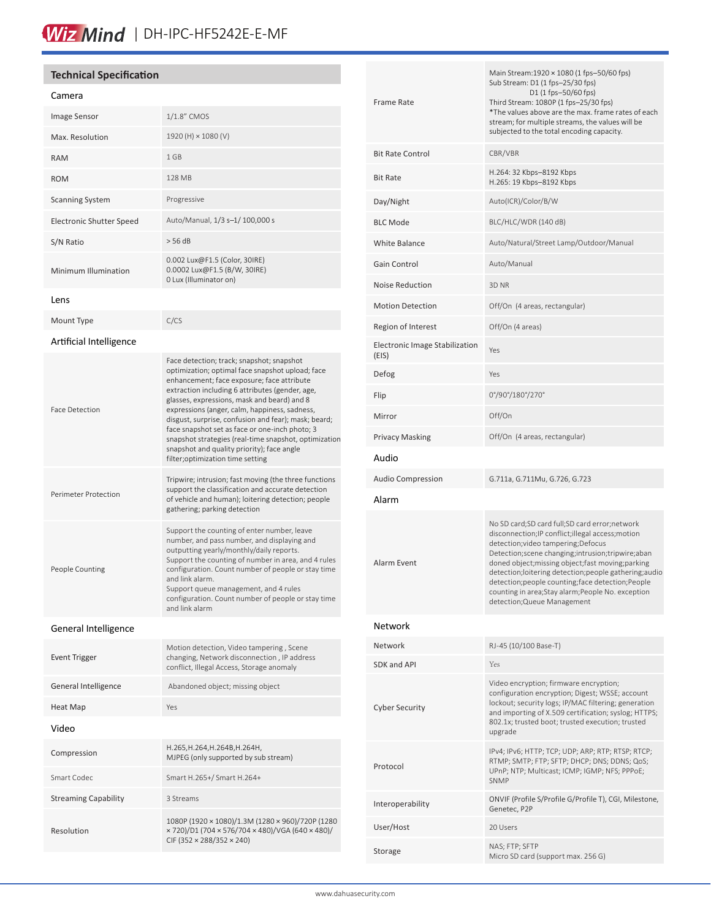# Wiz Mind | DH-IPC-HF5242E-E-MF

### **Technical Specification**

#### Camera

| Camera                          |                                                                                                                                                                                                                                                                                                                                                                                                                                                                                                                                                      |  |  |  |
|---------------------------------|------------------------------------------------------------------------------------------------------------------------------------------------------------------------------------------------------------------------------------------------------------------------------------------------------------------------------------------------------------------------------------------------------------------------------------------------------------------------------------------------------------------------------------------------------|--|--|--|
| <b>Image Sensor</b>             | 1/1.8" CMOS                                                                                                                                                                                                                                                                                                                                                                                                                                                                                                                                          |  |  |  |
| Max. Resolution                 | 1920 (H) × 1080 (V)                                                                                                                                                                                                                                                                                                                                                                                                                                                                                                                                  |  |  |  |
| <b>RAM</b>                      | 1 GB                                                                                                                                                                                                                                                                                                                                                                                                                                                                                                                                                 |  |  |  |
| <b>ROM</b>                      | 128 MB                                                                                                                                                                                                                                                                                                                                                                                                                                                                                                                                               |  |  |  |
| <b>Scanning System</b>          | Progressive                                                                                                                                                                                                                                                                                                                                                                                                                                                                                                                                          |  |  |  |
| <b>Electronic Shutter Speed</b> | Auto/Manual, 1/3 s-1/ 100,000 s                                                                                                                                                                                                                                                                                                                                                                                                                                                                                                                      |  |  |  |
| S/N Ratio                       | > 56 dB                                                                                                                                                                                                                                                                                                                                                                                                                                                                                                                                              |  |  |  |
| Minimum Illumination            | 0.002 Lux@F1.5 (Color, 30IRE)<br>0.0002 Lux@F1.5 (B/W, 30IRE)<br>0 Lux (Illuminator on)                                                                                                                                                                                                                                                                                                                                                                                                                                                              |  |  |  |
| Lens                            |                                                                                                                                                                                                                                                                                                                                                                                                                                                                                                                                                      |  |  |  |
| Mount Type                      | C/CS                                                                                                                                                                                                                                                                                                                                                                                                                                                                                                                                                 |  |  |  |
| Artificial Intelligence         |                                                                                                                                                                                                                                                                                                                                                                                                                                                                                                                                                      |  |  |  |
| <b>Face Detection</b>           | Face detection; track; snapshot; snapshot<br>optimization; optimal face snapshot upload; face<br>enhancement; face exposure; face attribute<br>extraction including 6 attributes (gender, age,<br>glasses, expressions, mask and beard) and 8<br>expressions (anger, calm, happiness, sadness,<br>disgust, surprise, confusion and fear); mask; beard;<br>face snapshot set as face or one-inch photo; 3<br>snapshot strategies (real-time snapshot, optimization<br>snapshot and quality priority); face angle<br>filter; optimization time setting |  |  |  |
| Perimeter Protection            | Tripwire; intrusion; fast moving (the three functions<br>support the classification and accurate detection<br>of vehicle and human); loitering detection; people<br>gathering; parking detection                                                                                                                                                                                                                                                                                                                                                     |  |  |  |
| People Counting                 | Support the counting of enter number, leave<br>number, and pass number, and displaying and<br>outputting yearly/monthly/daily reports.<br>Support the counting of number in area, and 4 rules<br>configuration. Count number of people or stay time<br>and link alarm.<br>Support queue management, and 4 rules<br>configuration. Count number of people or stay time<br>and link alarm                                                                                                                                                              |  |  |  |
| General Intelligence            |                                                                                                                                                                                                                                                                                                                                                                                                                                                                                                                                                      |  |  |  |
| <b>Event Trigger</b>            | Motion detection, Video tampering, Scene<br>changing, Network disconnection, IP address<br>conflict, Illegal Access, Storage anomaly                                                                                                                                                                                                                                                                                                                                                                                                                 |  |  |  |
| General Intelligence            | Abandoned object; missing object                                                                                                                                                                                                                                                                                                                                                                                                                                                                                                                     |  |  |  |
| Heat Map                        | Yes                                                                                                                                                                                                                                                                                                                                                                                                                                                                                                                                                  |  |  |  |
| Video                           |                                                                                                                                                                                                                                                                                                                                                                                                                                                                                                                                                      |  |  |  |
| Compression                     | H.265, H.264, H.264B, H.264H,<br>MJPEG (only supported by sub stream)                                                                                                                                                                                                                                                                                                                                                                                                                                                                                |  |  |  |
| Smart Codec                     | Smart H.265+/ Smart H.264+                                                                                                                                                                                                                                                                                                                                                                                                                                                                                                                           |  |  |  |
| <b>Streaming Capability</b>     | 3 Streams                                                                                                                                                                                                                                                                                                                                                                                                                                                                                                                                            |  |  |  |
| Resolution                      | 1080P (1920 × 1080)/1.3M (1280 × 960)/720P (1280<br>x 720)/D1 (704 x 576/704 x 480)/VGA (640 x 480)/<br>CIF (352 × 288/352 × 240)                                                                                                                                                                                                                                                                                                                                                                                                                    |  |  |  |

| <b>Frame Rate</b>                       | Main Stream:1920 × 1080 (1 fps-50/60 fps)<br>Sub Stream: D1 (1 fps-25/30 fps)<br>D1 (1 fps-50/60 fps)<br>Third Stream: 1080P (1 fps-25/30 fps)<br>*The values above are the max. frame rates of each<br>stream; for multiple streams, the values will be<br>subjected to the total encoding capacity.                                                                                                                                                  |  |
|-----------------------------------------|--------------------------------------------------------------------------------------------------------------------------------------------------------------------------------------------------------------------------------------------------------------------------------------------------------------------------------------------------------------------------------------------------------------------------------------------------------|--|
| <b>Bit Rate Control</b>                 | CBR/VBR                                                                                                                                                                                                                                                                                                                                                                                                                                                |  |
| <b>Bit Rate</b>                         | H.264: 32 Kbps-8192 Kbps<br>H.265: 19 Kbps-8192 Kbps                                                                                                                                                                                                                                                                                                                                                                                                   |  |
| Day/Night                               | Auto(ICR)/Color/B/W                                                                                                                                                                                                                                                                                                                                                                                                                                    |  |
| <b>BLC Mode</b>                         | BLC/HLC/WDR (140 dB)                                                                                                                                                                                                                                                                                                                                                                                                                                   |  |
| <b>White Balance</b>                    | Auto/Natural/Street Lamp/Outdoor/Manual                                                                                                                                                                                                                                                                                                                                                                                                                |  |
| Gain Control                            | Auto/Manual                                                                                                                                                                                                                                                                                                                                                                                                                                            |  |
| Noise Reduction                         | 3D <sub>NR</sub>                                                                                                                                                                                                                                                                                                                                                                                                                                       |  |
| <b>Motion Detection</b>                 | Off/On (4 areas, rectangular)                                                                                                                                                                                                                                                                                                                                                                                                                          |  |
| Region of Interest                      | Off/On (4 areas)                                                                                                                                                                                                                                                                                                                                                                                                                                       |  |
| Electronic Image Stabilization<br>(EIS) | Yes                                                                                                                                                                                                                                                                                                                                                                                                                                                    |  |
| Defog                                   | Yes                                                                                                                                                                                                                                                                                                                                                                                                                                                    |  |
| Flip                                    | 0°/90°/180°/270°                                                                                                                                                                                                                                                                                                                                                                                                                                       |  |
| Mirror                                  | Off/On                                                                                                                                                                                                                                                                                                                                                                                                                                                 |  |
| <b>Privacy Masking</b>                  | Off/On (4 areas, rectangular)                                                                                                                                                                                                                                                                                                                                                                                                                          |  |
| Audio                                   |                                                                                                                                                                                                                                                                                                                                                                                                                                                        |  |
| <b>Audio Compression</b>                | G.711a, G.711Mu, G.726, G.723                                                                                                                                                                                                                                                                                                                                                                                                                          |  |
| Alarm                                   |                                                                                                                                                                                                                                                                                                                                                                                                                                                        |  |
| Alarm Event                             | No SD card;SD card full;SD card error;network<br>disconnection; IP conflict; illegal access; motion<br>detection; video tampering; Defocus<br>Detection; scene changing; intrusion; tripwire; aban<br>doned object; missing object; fast moving; parking<br>detection;loitering detection;people gathering;audio<br>detection;people counting;face detection;People<br>counting in area;Stay alarm;People No. exception<br>detection; Queue Management |  |
| Network                                 |                                                                                                                                                                                                                                                                                                                                                                                                                                                        |  |
| Network                                 | RJ-45 (10/100 Base-T)                                                                                                                                                                                                                                                                                                                                                                                                                                  |  |
| SDK and API                             | Yes                                                                                                                                                                                                                                                                                                                                                                                                                                                    |  |
| <b>Cyber Security</b>                   | Video encryption; firmware encryption;<br>configuration encryption; Digest; WSSE; account<br>lockout; security logs; IP/MAC filtering; generation<br>and importing of X.509 certification; syslog; HTTPS;<br>802.1x; trusted boot; trusted execution; trusted<br>upgrade                                                                                                                                                                               |  |
| Protocol                                | IPv4; IPv6; HTTP; TCP; UDP; ARP; RTP; RTSP; RTCP;<br>RTMP; SMTP; FTP; SFTP; DHCP; DNS; DDNS; QoS;<br>UPnP; NTP; Multicast; ICMP; IGMP; NFS; PPPoE;<br>SNMP                                                                                                                                                                                                                                                                                             |  |
| Interoperability                        | ONVIF (Profile S/Profile G/Profile T), CGI, Milestone,<br>Genetec, P2P                                                                                                                                                                                                                                                                                                                                                                                 |  |
| User/Host                               | 20 Users                                                                                                                                                                                                                                                                                                                                                                                                                                               |  |
| Storage                                 | NAS; FTP; SFTP<br>Micro SD card (support max. 256 G)                                                                                                                                                                                                                                                                                                                                                                                                   |  |